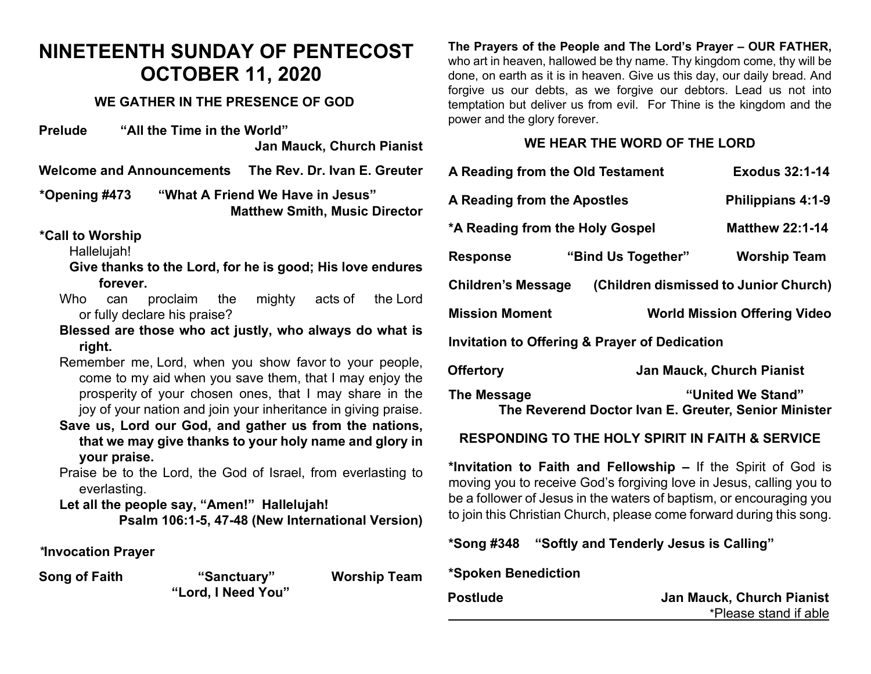### **NINETEENTH SUNDAY OF PENTECOST OCTOBER 11, 2020**

#### **WE GATHER IN THE PRESENCE OF GOD**

**Prelude "All the Time in the World" Jan Mauck, Church Pianist**

**Welcome and Announcements The Rev. Dr. Ivan E. Greuter**

**\*Opening #473 "What A Friend We Have in Jesus" Matthew Smith, Music Director** 

#### **\*Call to Worship**

Hallelujah!

**Give thanks to the Lord, for he is good; His love endures forever.**

- Who can proclaim the mighty acts of the Lord or fully declare his praise?
- **Blessed are those who act justly, who always do what is right.**
- Remember me, Lord, when you show favor to your people, come to my aid when you save them, that I may enjoy the prosperity of your chosen ones, that I may share in the joy of your nation and join your inheritance in giving praise.
- **Save us, Lord our God, and gather us from the nations, that we may give thanks to your holy name and glory in your praise.**
- Praise be to the Lord, the God of Israel, from everlasting to everlasting.

**Let all the people say, "Amen!" Hallelujah! Psalm 106:1-5, 47-48 (New International Version)**

#### *\****Invocation Prayer**

**Song of Faith "Sanctuary" Worship Team "Lord, I Need You"**

**The Prayers of the People and The Lord's Prayer – OUR FATHER,**  who art in heaven, hallowed be thy name. Thy kingdom come, thy will be done, on earth as it is in heaven. Give us this day, our daily bread. And forgive us our debts, as we forgive our debtors. Lead us not into temptation but deliver us from evil. For Thine is the kingdom and the power and the glory forever.

#### **WE HEAR THE WORD OF THE LORD**

| A Reading from the Old Testament                                                         |                    | Exodus 32:1-14                      |  |
|------------------------------------------------------------------------------------------|--------------------|-------------------------------------|--|
| A Reading from the Apostles                                                              |                    | Philippians 4:1-9                   |  |
| *A Reading from the Holy Gospel                                                          |                    | <b>Matthew 22:1-14</b>              |  |
| <b>Response</b>                                                                          | "Bind Us Together" | <b>Worship Team</b>                 |  |
| (Children dismissed to Junior Church)<br><b>Children's Message</b>                       |                    |                                     |  |
| <b>Mission Moment</b>                                                                    |                    | <b>World Mission Offering Video</b> |  |
| <b>Invitation to Offering &amp; Prayer of Dedication</b>                                 |                    |                                     |  |
| <b>Offertory</b>                                                                         |                    | Jan Mauck, Church Pianist           |  |
| "United We Stand"<br>The Message<br>The Reverend Doctor Ivan E. Greuter, Senior Minister |                    |                                     |  |
| <b>RESPONDING TO THE HOLY SPIRIT IN FAITH &amp; SERVICE</b>                              |                    |                                     |  |

**\*Invitation to Faith and Fellowship –** If the Spirit of God is moving you to receive God's forgiving love in Jesus, calling you to be a follower of Jesus in the waters of baptism, or encouraging you to join this Christian Church, please come forward during this song.

**\*Song #348 "Softly and Tenderly Jesus is Calling"** 

#### **\*Spoken Benediction**

| <b>Postlude</b> | <b>Jan Mauck, Church Pianist</b> |  |
|-----------------|----------------------------------|--|
|                 | *Please stand if able            |  |